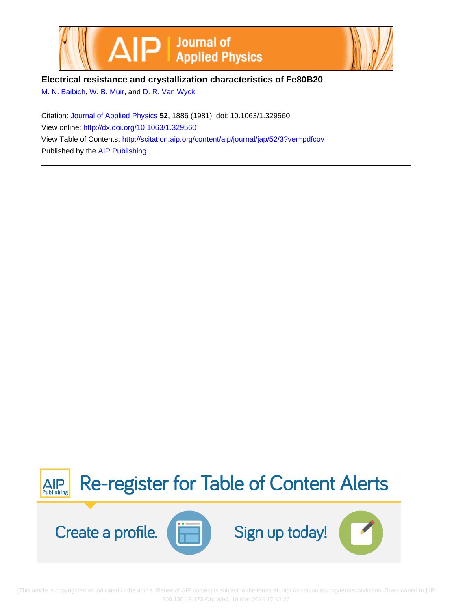



**Electrical resistance and crystallization characteristics of Fe80B20**

[M. N. Baibich](http://scitation.aip.org/search?value1=M.+N.+Baibich&option1=author), [W. B. Muir](http://scitation.aip.org/search?value1=W.+B.+Muir&option1=author), and [D. R. Van Wyck](http://scitation.aip.org/search?value1=D.+R.+Van+Wyck&option1=author)

Citation: [Journal of Applied Physics](http://scitation.aip.org/content/aip/journal/jap?ver=pdfcov) **52**, 1886 (1981); doi: 10.1063/1.329560 View online:<http://dx.doi.org/10.1063/1.329560> View Table of Contents: <http://scitation.aip.org/content/aip/journal/jap/52/3?ver=pdfcov> Published by the [AIP Publishing](http://scitation.aip.org/content/aip?ver=pdfcov)



[This article is copyrighted as indicated in the article. Reuse of AIP content is subject to the terms at: http://scitation.aip.org/termsconditions. Downloaded to ] IP: 200.130.19.173 On: Wed, 19 Mar 2014 17:42:26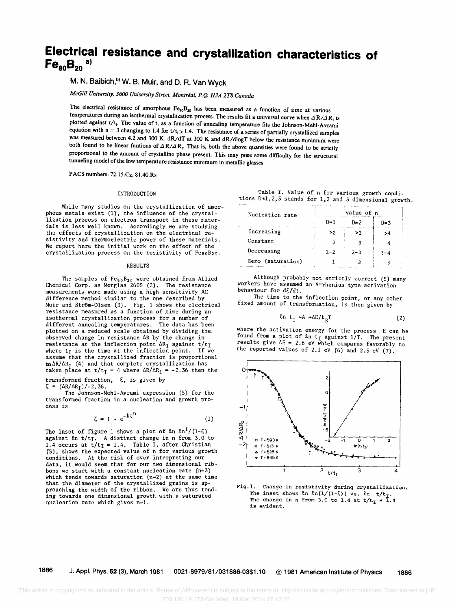# **Electrical resistance and crystallization characteristics of**   $Fe_{80}B_{20}$ <sup>a)</sup>

# M. N. Baibich,<sup>b)</sup> W. B. Muir, and D. R. Van Wyck

*McGill University, 3600 University Street, Montreal, P.* Q. *H3A 2T8 Canada* 

The electrical resistance of amorphous  $Fe_{80}B_{20}$  has been measured as a function of time at various temperatures during an isothermal crystallization process. The results fit a universal curve when  $\Delta R/A R_1$  is plotted against t/t<sub>i</sub>. The value of t<sub>i</sub> as a function of annealing temperature fits the Johnson-Mehl-Avrami equation with  $n = 3$  changing to 1.4 for  $t/t_1 > 1.4$ . The resistance of a series of partially crystallized samples was measured between 4.2 and 300 K. dR/dT at 300 K and dR/dlogT below the resistance minimum were both found to be linear funtions of  $\Delta R/\Delta R$ . That is, both the above quantities were found to be strictly proportional to the amount of crystalline phase present. This may pose some difficulty for the structural tunneling model of the low temperature resistance minimum in metallic glasses.

PACS numbers: *n.lS.Cz,* 81.40.Rs

#### INTRODUCTION

While many studies on the crystallization of amor-<br>phous metals exist (1), the influence of the crystallization process on electron transport in these materials is less well known. Accordingly we are studying the effects of crystallization on the electrical resistivity and thermoelectric power of these materials. We report here the initial work on the effect of the crystallization process on the resistivity of FeeoB2o.

#### RESULTS

The samples of  $Fe_{80}B_{20}$  were obtained from Allied Chemical Corp. as Metglas 2605 (2). The resistance measurements were made using a high sensitivity AC difference method similar to the one described by Muir and StrBm-Olsen (3). Fig. I shows the electrical resistance measured as a function of time during an isothermal crystallization process for a number of different annealing temperatures. The data has been plotted on a reduced scale obtained by dividing theobserved change in resistance  $\Delta R$  by the change in resistance at the inflection point  $\Delta R_I$  against  $t/t_I$ where  $t_I$  is the time at the inflection point. If we assume that the crystallized fraction is proportional  $to \Delta R/\Delta R_{\tau}$  (4) and that complete crystallization has taken place at  $t/t_I = 4$  where  $\Delta R/\Delta R_I = -2.36$  then the

transformed fraction,  $\xi$ , is given by  $\xi = (\Delta R / \Delta R_T) / -2.36$ .

The Johnson-Mehl-Avrami expression (5) for the transformed fraction in a nucleation and growth process is

$$
\xi = 1 - e^{-kt^{\prime\prime}} \tag{1}
$$

The inset of figure 1 shows a plot of  $ln ln^{1}/(1-\xi)$ against  $ln t/t$ . A distinct change in n from 3.0 to 1.4 occurs at  $t/t_{I} = 1.4$ . Table I, after Christian (5), shows the expected value of n for various growth conditions. At the risk of over interpreting our data, it would seem that for our two dimensional ribbons we start with a constant nucleation rate  $(n=3)$ which tends towards saturation (n=2) at the same time that the diameter of the crystallized grains is approaching the width of the ribbon. We are thus tending towards one dimensional growth with a saturated nucleation rate which gives n=l.

|  |  |  |  | Table I. Value of n for various growth condi-             |
|--|--|--|--|-----------------------------------------------------------|
|  |  |  |  | tions D.1, 2, 3 stands for 1, 2 and 3 dimensional growth. |

| Nucleation rate   |         | value of n                        |         |  |
|-------------------|---------|-----------------------------------|---------|--|
|                   | D≖1     | ת ⊑⊓                              | $D = 3$ |  |
| Increasing        | >2      | <b>15 1 10 11</b><br>$\sim$<br>>3 | .       |  |
| Constant          |         |                                   |         |  |
| Decreasing        | $1 - 2$ | $2 - 3$                           | $3 - 4$ |  |
| Zero (saturation) |         |                                   |         |  |

Although probably not strictly correct (5) many workers have assumed an Arrhenius type activation behaviour for  $d\xi/dt$ .

The time to the inflection point, or any other fixed amount of transformation, is then given by

$$
n tT = A + \Delta E/kR T
$$
 (2)

where the activation energy for the process E can be found from a plot of  $\ell n$  t<sub>I</sub> against 1/T. The present results give  $\Delta E = 2.6$  eV which compares favorably to the reported values of 2.1 eV (6) and 2.5 eV  $(7)$ .



Fig.l. Change in resistivity during crystallization. The inset shows  $\ln \ln[1/(1-\xi)]$  vs.  $\ln t/t$ .<br>The change in n from 3.0 to 1.4 at  $t/t$  = 1.4 is evident.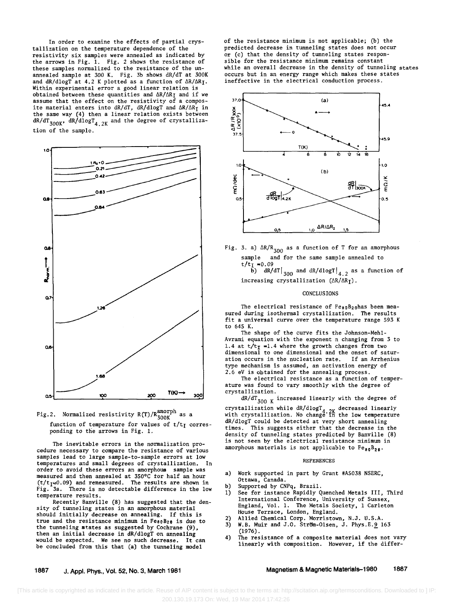In order to examine the effects of partial crystallization on the temperature dependence of the resistivity six samples were annealed as indicated by the arrows in Fig. 1. Fig. 2 shows the resistance of these samples normalized to the resistance of the unannealed sample at 300 K. Fig. 3b shows dR/dT at 300K and  $dR/dlogT$  at 4.2 K plotted as a function of  $\Delta R/\Delta R$ <sub>I</sub>. Within experimental error a good linear relation is obtained between these quantities and  $\Delta R/\Delta R_I$  and if we assume that the effect on the resistivity of a composite material enters into dR/dT, dR/dlogT and  $\Delta R/\Delta R_{\text{I}}$  in the same way (4) then a linear relation exists between  $dR/dT_{300K}$ ,  $dR/dlogT_{4.2K}$  and the degree of crystallization of the sample.





The inevitable errors in the normalization procedure necessary to compare the resistance of various samples lead to large sample-to-sample errors at low temperatures and small degrees of crystallization. In order to avoid these errors an amorphous sample was order to avoid these errors an amorphous sample was measured and then annealed at 350°C tor half an hour  $(t/t<sub>I</sub>$ <sup>20.09</sup>) and remeasured. The results are shown in Fig. 3a. There is no detectable difference in the low temperature results.

Recently Banville (8) has suggested that the density of tunneling states in an amorphous material should initially decrease on annealing. If this is true and the resistance minimum in  $Fes_0B_2$  is due to the tunneling states as suggested by Cochrane (9), then an initial decrease in dR/dlogT on annealing would be expected. We see no such decrease. It can be concluded from this that (a) the tunneling model

of the resistance minimum is not applicable; (b) the predicted decrease in tunneling states does not occur or (c) that the density of tunneling states responsible for the resistance minimum remains constant while an overall decrease in the density of tunneling states occurs but in an energy range which makes these states ineffective in the electrical conduction process.



Fig. 3. a)  $\Delta R/R_{300}$  as a function of T for an amorphous sample and for the same sample annealed to  $t/t_1 = 0.09$ 

 $\left.\tilde{\text{b}}\right)$  dR/dT $\left|_{300}\right\rangle$  and dR/dlogT $\left|_{4.2}\right\rangle$  as a function of increasing crystallization  $(\Delta R/\Delta R_I)$ .

#### **CONCLUSIONS**

The electrical resistance of  $Fe_{80}B_{20}$ has been measured during isothermal crystallization. The results fit a universal curve over the temperature range 593 K to 645 K.

The shape of the curve fits the Johnson-Mehl-Avrami equation with the exponent n changing from 3 to 1.4 at  $t/t_T = 1.4$  where the growth changes from two dimensional to one dimensional and the onset of saturation occurs in the nucleation rate. If an Arrhenius type mechanism is assumed, an activation energy of 2.6 eV is obtained for the annealing process.

The electrical resistance as a function of temperature was found to vary smoothly with the degree of crystallization.

 $dR/dT_{300 K}$  increased linearly with the degree of

crystallization while  $dR/dlogT_4$ ,  $2K$  decreased linearly with crystallization. No change in the low temperature dR/dlogT could be detected at very short annealing times. This suggests either that the decrease in the density of tunneling states predicted by Banville (8) is not seen by the electrical resistance minimum in amorphous materials is not applicable to  $Fe_{80}B_{20}$ .

#### REFERENCES

- a) Work supported in part by Grant #A5038 NSERC, Ottawa, Canada.
- b) Supported by CNPq, Brazil.
- 1) See for instance Rapidly Quenched Metals III, Third International Conference, University of Sussex, England, Vol. 1. The Metals Society, 1 Carleton House Terrace, London, England.
- 
- 2) Allied Chemical Corp. Morristown, N.J. U.S.A.<br>3) W.B. Muir and J.O. Ström-Olsen, J. Phys.E.9 163 3) W.B. Muir and J.O. Strom-Olsen, J. Phys.E.9 163 (1976).<br>4) The resistance of a composite material does not vary
- linearly with composition. However, if the differ-

## 1887 J. Appl. Phys., Vol. 52, No.3, March 1981

## Magnetism & Magnetic Materials-1980 1887